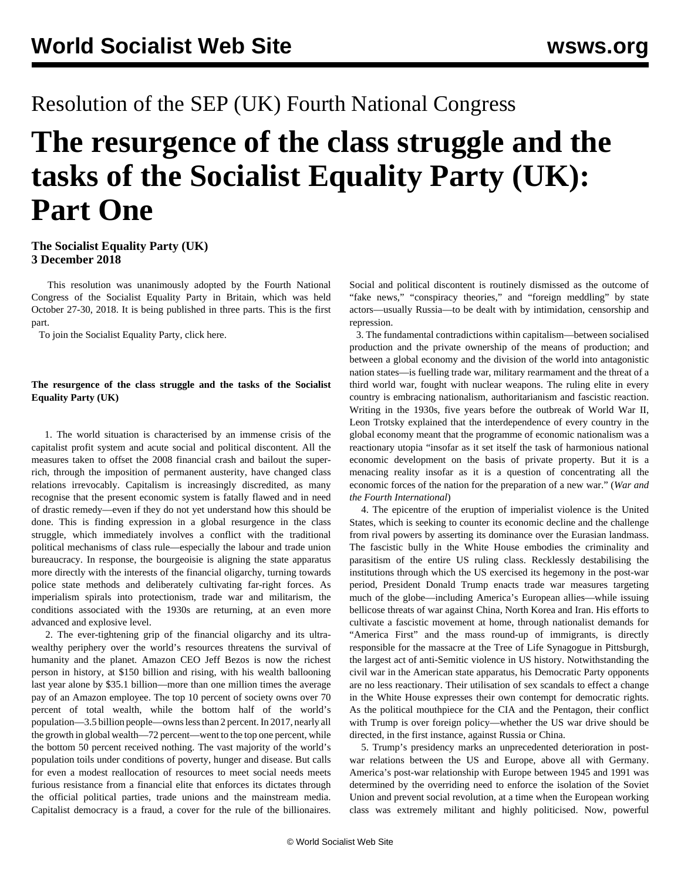## Resolution of the SEP (UK) Fourth National Congress

# **The resurgence of the class struggle and the tasks of the Socialist Equality Party (UK): Part One**

#### **The Socialist Equality Party (UK) 3 December 2018**

 This resolution was unanimously adopted by the Fourth National Congress of the Socialist Equality Party in Britain, which was held October 27-30, 2018. It is being published in three parts. This is the first part.

To join the Socialist Equality Party, click [here.](/en/special/sepjoin.html)

#### **The resurgence of the class struggle and the tasks of the Socialist Equality Party (UK)**

 1. The world situation is characterised by an immense crisis of the capitalist profit system and acute social and political discontent. All the measures taken to offset the 2008 financial crash and bailout the superrich, through the imposition of permanent austerity, have changed class relations irrevocably. Capitalism is increasingly discredited, as many recognise that the present economic system is fatally flawed and in need of drastic remedy—even if they do not yet understand how this should be done. This is finding expression in a global resurgence in the class struggle, which immediately involves a conflict with the traditional political mechanisms of class rule—especially the labour and trade union bureaucracy. In response, the bourgeoisie is aligning the state apparatus more directly with the interests of the financial oligarchy, turning towards police state methods and deliberately cultivating far-right forces. As imperialism spirals into protectionism, trade war and militarism, the conditions associated with the 1930s are returning, at an even more advanced and explosive level.

 2. The ever-tightening grip of the financial oligarchy and its ultrawealthy periphery over the world's resources threatens the survival of humanity and the planet. Amazon CEO Jeff Bezos is now the richest person in history, at \$150 billion and rising, with his wealth ballooning last year alone by \$35.1 billion—more than one million times the average pay of an Amazon employee. The top 10 percent of society owns over 70 percent of total wealth, while the bottom half of the world's population—3.5 billion people—owns less than 2 percent. In 2017, nearly all the growth in global wealth—72 percent—went to the top one percent, while the bottom 50 percent received nothing. The vast majority of the world's population toils under conditions of poverty, hunger and disease. But calls for even a modest reallocation of resources to meet social needs meets furious resistance from a financial elite that enforces its dictates through the official political parties, trade unions and the mainstream media. Capitalist democracy is a fraud, a cover for the rule of the billionaires.

Social and political discontent is routinely dismissed as the outcome of "fake news," "conspiracy theories," and "foreign meddling" by state actors—usually Russia—to be dealt with by intimidation, censorship and repression.

 3. The fundamental contradictions within capitalism—between socialised production and the private ownership of the means of production; and between a global economy and the division of the world into antagonistic nation states—is fuelling trade war, military rearmament and the threat of a third world war, fought with nuclear weapons. The ruling elite in every country is embracing nationalism, authoritarianism and fascistic reaction. Writing in the 1930s, five years before the outbreak of World War II, Leon Trotsky explained that the interdependence of every country in the global economy meant that the programme of economic nationalism was a reactionary utopia "insofar as it set itself the task of harmonious national economic development on the basis of private property. But it is a menacing reality insofar as it is a question of concentrating all the economic forces of the nation for the preparation of a new war." (*War and the Fourth International*)

 4. The epicentre of the eruption of imperialist violence is the United States, which is seeking to counter its economic decline and the challenge from rival powers by asserting its dominance over the Eurasian landmass. The fascistic bully in the White House embodies the criminality and parasitism of the entire US ruling class. Recklessly destabilising the institutions through which the US exercised its hegemony in the post-war period, President Donald Trump enacts trade war measures targeting much of the globe—including America's European allies—while issuing bellicose threats of war against China, North Korea and Iran. His efforts to cultivate a fascistic movement at home, through nationalist demands for "America First" and the mass round-up of immigrants, is directly responsible for the massacre at the Tree of Life Synagogue in Pittsburgh, the largest act of anti-Semitic violence in US history. Notwithstanding the civil war in the American state apparatus, his Democratic Party opponents are no less reactionary. Their utilisation of sex scandals to effect a change in the White House expresses their own contempt for democratic rights. As the political mouthpiece for the CIA and the Pentagon, their conflict with Trump is over foreign policy—whether the US war drive should be directed, in the first instance, against Russia or China.

 5. Trump's presidency marks an unprecedented deterioration in postwar relations between the US and Europe, above all with Germany. America's post-war relationship with Europe between 1945 and 1991 was determined by the overriding need to enforce the isolation of the Soviet Union and prevent social revolution, at a time when the European working class was extremely militant and highly politicised. Now, powerful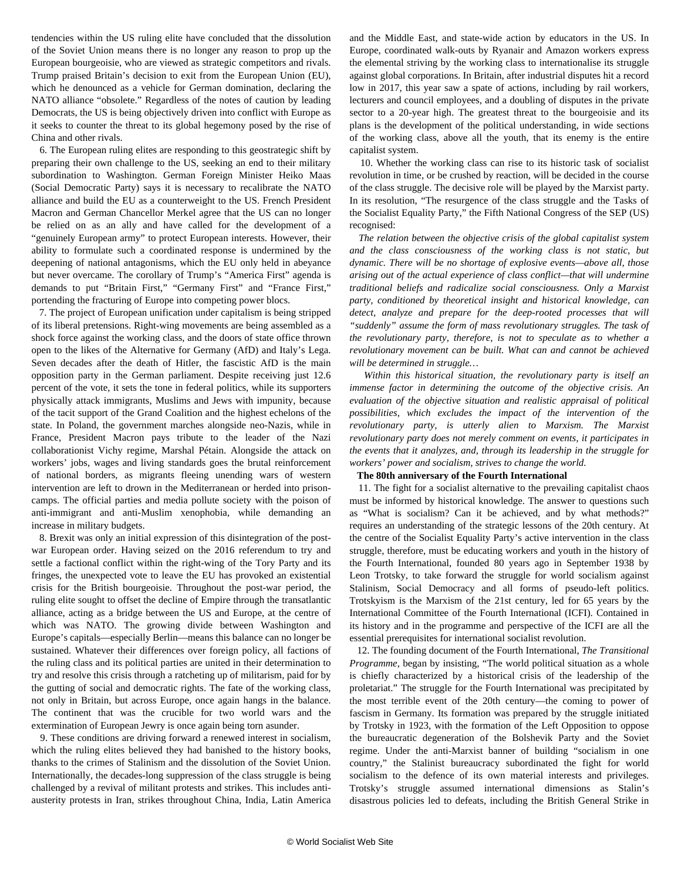tendencies within the US ruling elite have concluded that the dissolution of the Soviet Union means there is no longer any reason to prop up the European bourgeoisie, who are viewed as strategic competitors and rivals. Trump praised Britain's decision to exit from the European Union (EU), which he denounced as a vehicle for German domination, declaring the NATO alliance "obsolete." Regardless of the notes of caution by leading Democrats, the US is being objectively driven into conflict with Europe as it seeks to counter the threat to its global hegemony posed by the rise of China and other rivals.

 6. The European ruling elites are responding to this geostrategic shift by preparing their own challenge to the US, seeking an end to their military subordination to Washington. German Foreign Minister Heiko Maas (Social Democratic Party) says it is necessary to recalibrate the NATO alliance and build the EU as a counterweight to the US. French President Macron and German Chancellor Merkel agree that the US can no longer be relied on as an ally and have called for the development of a "genuinely European army" to protect European interests. However, their ability to formulate such a coordinated response is undermined by the deepening of national antagonisms, which the EU only held in abeyance but never overcame. The corollary of Trump's "America First" agenda is demands to put "Britain First," "Germany First" and "France First," portending the fracturing of Europe into competing power blocs.

 7. The project of European unification under capitalism is being stripped of its liberal pretensions. Right-wing movements are being assembled as a shock force against the working class, and the doors of state office thrown open to the likes of the Alternative for Germany (AfD) and Italy's Lega. Seven decades after the death of Hitler, the fascistic AfD is the main opposition party in the German parliament. Despite receiving just 12.6 percent of the vote, it sets the tone in federal politics, while its supporters physically attack immigrants, Muslims and Jews with impunity, because of the tacit support of the Grand Coalition and the highest echelons of the state. In Poland, the government marches alongside neo-Nazis, while in France, President Macron pays tribute to the leader of the Nazi collaborationist Vichy regime, Marshal Pétain. Alongside the attack on workers' jobs, wages and living standards goes the brutal reinforcement of national borders, as migrants fleeing unending wars of western intervention are left to drown in the Mediterranean or herded into prisoncamps. The official parties and media pollute society with the poison of anti-immigrant and anti-Muslim xenophobia, while demanding an increase in military budgets.

 8. Brexit was only an initial expression of this disintegration of the postwar European order. Having seized on the 2016 referendum to try and settle a factional conflict within the right-wing of the Tory Party and its fringes, the unexpected vote to leave the EU has provoked an existential crisis for the British bourgeoisie. Throughout the post-war period, the ruling elite sought to offset the decline of Empire through the transatlantic alliance, acting as a bridge between the US and Europe, at the centre of which was NATO. The growing divide between Washington and Europe's capitals—especially Berlin—means this balance can no longer be sustained. Whatever their differences over foreign policy, all factions of the ruling class and its political parties are united in their determination to try and resolve this crisis through a ratcheting up of militarism, paid for by the gutting of social and democratic rights. The fate of the working class, not only in Britain, but across Europe, once again hangs in the balance. The continent that was the crucible for two world wars and the extermination of European Jewry is once again being torn asunder.

 9. These conditions are driving forward a renewed interest in socialism, which the ruling elites believed they had banished to the history books, thanks to the crimes of Stalinism and the dissolution of the Soviet Union. Internationally, the decades-long suppression of the class struggle is being challenged by a revival of militant protests and strikes. This includes antiausterity protests in Iran, strikes throughout China, India, Latin America and the Middle East, and state-wide action by educators in the US. In Europe, coordinated walk-outs by Ryanair and Amazon workers express the elemental striving by the working class to internationalise its struggle against global corporations. In Britain, after industrial disputes hit a record low in 2017, this year saw a spate of actions, including by rail workers, lecturers and council employees, and a doubling of disputes in the private sector to a 20-year high. The greatest threat to the bourgeoisie and its plans is the development of the political understanding, in wide sections of the working class, above all the youth, that its enemy is the entire capitalist system.

 10. Whether the working class can rise to its historic task of socialist revolution in time, or be crushed by reaction, will be decided in the course of the class struggle. The decisive role will be played by the Marxist party. In its resolution, "The resurgence of the class struggle and the Tasks of the Socialist Equality Party," the Fifth National Congress of the SEP (US) recognised:

 *The relation between the objective crisis of the global capitalist system and the class consciousness of the working class is not static, but dynamic. There will be no shortage of explosive events—above all, those arising out of the actual experience of class conflict—that will undermine traditional beliefs and radicalize social consciousness. Only a Marxist party, conditioned by theoretical insight and historical knowledge, can detect, analyze and prepare for the deep-rooted processes that will "suddenly" assume the form of mass revolutionary struggles. The task of the revolutionary party, therefore, is not to speculate as to whether a revolutionary movement can be built. What can and cannot be achieved will be determined in struggle…*

 *Within this historical situation, the revolutionary party is itself an immense factor in determining the outcome of the objective crisis. An evaluation of the objective situation and realistic appraisal of political possibilities, which excludes the impact of the intervention of the revolutionary party, is utterly alien to Marxism. The Marxist revolutionary party does not merely comment on events, it participates in the events that it analyzes, and, through its leadership in the struggle for workers' power and socialism, strives to change the world.*

#### **The 80th anniversary of the Fourth International**

 11. The fight for a socialist alternative to the prevailing capitalist chaos must be informed by historical knowledge. The answer to questions such as "What is socialism? Can it be achieved, and by what methods?" requires an understanding of the strategic lessons of the 20th century. At the centre of the Socialist Equality Party's active intervention in the class struggle, therefore, must be educating workers and youth in the history of the Fourth International, founded 80 years ago in September 1938 by Leon Trotsky, to take forward the struggle for world socialism against Stalinism, Social Democracy and all forms of pseudo-left politics. Trotskyism is the Marxism of the 21st century, led for 65 years by the International Committee of the Fourth International (ICFI). Contained in its history and in the programme and perspective of the ICFI are all the essential prerequisites for international socialist revolution.

 12. The founding document of the Fourth International, *The Transitional Programme*, began by insisting, "The world political situation as a whole is chiefly characterized by a historical crisis of the leadership of the proletariat." The struggle for the Fourth International was precipitated by the most terrible event of the 20th century—the coming to power of fascism in Germany. Its formation was prepared by the struggle initiated by Trotsky in 1923, with the formation of the Left Opposition to oppose the bureaucratic degeneration of the Bolshevik Party and the Soviet regime. Under the anti-Marxist banner of building "socialism in one country," the Stalinist bureaucracy subordinated the fight for world socialism to the defence of its own material interests and privileges. Trotsky's struggle assumed international dimensions as Stalin's disastrous policies led to defeats, including the British General Strike in